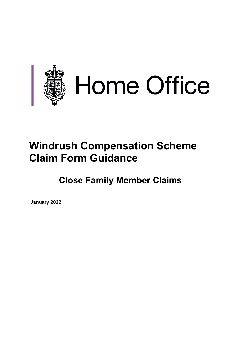

# **Windrush Compensation Scheme Claim Form Guidance**

**Close Family Member Claims**

**January 2022**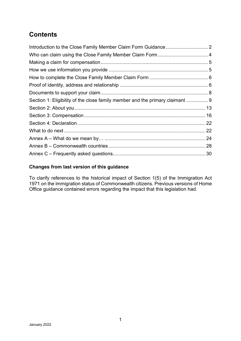# **Contents**

| Section 1: Eligibility of the close family member and the primary claimant  9 |  |
|-------------------------------------------------------------------------------|--|
|                                                                               |  |
|                                                                               |  |
|                                                                               |  |
|                                                                               |  |
|                                                                               |  |
|                                                                               |  |
|                                                                               |  |

#### **Changes from last version of this guidance**

To clarify references to the historical impact of Section 1(5) of the Immigration Act 1971 on the immigration status of Commonwealth citizens. Previous versions of Home Office guidance contained errors regarding the impact that this legislation had.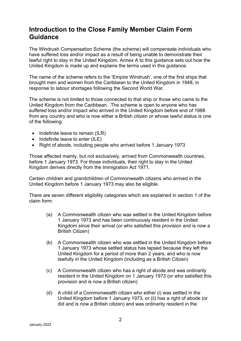### <span id="page-2-0"></span>**Introduction to the Close Family Member Claim Form Guidance**

The Windrush Compensation Scheme (the scheme) will compensate individuals who have suffered loss and/or impact as a result of being unable to demonstrate their lawful right to stay in the United Kingdom. Annex A to this guidance sets out how the United Kingdom is made up and explains the terms used in this guidance.

The name of the scheme refers to the 'Empire Windrush', one of the first ships that brought men and women from the Caribbean to the United Kingdom in 1948, in response to labour shortages following the Second World War.

The scheme is not limited to those connected to that ship or those who came to the United Kingdom from the Caribbean. The scheme is open to anyone who has suffered loss and/or impact who arrived in the United Kingdom before end of 1988 from any country and who is now either a British citizen or whose lawful status is one of the following:

- Indefinite leave to remain (ILR)
- Indefinite leave to enter (ILE)
- Right of abode, including people who arrived before 1 January 1973

Those affected mainly, but not exclusively, arrived from Commonwealth countries, before 1 January 1973. For those individuals, their right to stay in the United Kingdom derives directly from the Immigration Act 1971.

Certain children and grandchildren of Commonwealth citizens who arrived in the United Kingdom before 1 January 1973 may also be eligible.

There are seven different eligibility categories which are explained in section 1 of the claim form:

- (a) A Commonwealth citizen who was settled in the United Kingdom before 1 January 1973 and has been continuously resident in the United Kingdom since their arrival (or who satisfied this provision and is now a British Citizen)
- (b) A Commonwealth citizen who was settled in the United Kingdom before 1 January 1973 whose settled status has lapsed because they left the United Kingdom for a period of more than 2 years, and who is now lawfully in the United Kingdom (including as a British Citizen)
- (c) A Commonwealth citizen who has a right of abode and was ordinarily resident in the United Kingdom on 1 January 1973 (or who satisfied this provision and is now a British citizen)
- (d) A child of a Commonwealth citizen who either (i) was settled in the United Kingdom before 1 January 1973, or (ii) has a right of abode (or did and is now a British citizen) and was ordinarily resident in the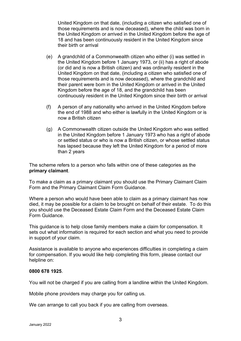United Kingdom on that date, (including a citizen who satisfied one of those requirements and is now deceased), where the child was born in the United Kingdom or arrived in the United Kingdom before the age of 18 and has been continuously resident in the United Kingdom since their birth or arrival

- (e) A grandchild of a Commonwealth citizen who either (i) was settled in the United Kingdom before 1 January 1973, or (ii) has a right of abode (or did and is now a British citizen) and was ordinarily resident in the United Kingdom on that date, (including a citizen who satisfied one of those requirements and is now deceased), where the grandchild and their parent were born in the United Kingdom or arrived in the United Kingdom before the age of 18, and the grandchild has been continuously resident in the United Kingdom since their birth or arrival
- (f) A person of any nationality who arrived in the United Kingdom before the end of 1988 and who either is lawfully in the United Kingdom or is now a British citizen
- (g) A Commonwealth citizen outside the United Kingdom who was settled in the United Kingdom before 1 January 1973 who has a right of abode or settled status or who is now a British citizen, or whose settled status has lapsed because they left the United Kingdom for a period of more than 2 years

The scheme refers to a person who falls within one of these categories as the **primary claimant**.

To make a claim as a primary claimant you should use the Primary Claimant Claim Form and the Primary Claimant Claim Form Guidance.

Where a person who would have been able to claim as a primary claimant has now died, it may be possible for a claim to be brought on behalf of their estate. To do this you should use the Deceased Estate Claim Form and the Deceased Estate Claim Form Guidance.

This guidance is to help close family members make a claim for compensation. It sets out what information is required for each section and what you need to provide in support of your claim.

Assistance is available to anyone who experiences difficulties in completing a claim for compensation. If you would like help completing this form, please contact our helpline on:

#### **0800 678 1925**.

You will not be charged if you are calling from a landline within the United Kingdom.

Mobile phone providers may charge you for calling us.

We can arrange to call you back if you are calling from overseas.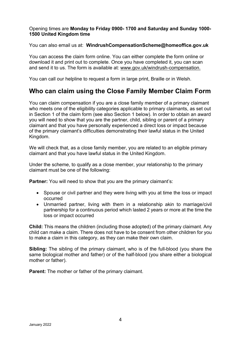#### Opening times are **Monday to Friday 0900- 1700 and Saturday and Sunday 1000- 1500 United Kingdom time**

You can also email us at: **WindrushCompensationScheme@homeoffice.gov.uk**

You can access the claim form online. You can either complete the form online or download it and print out to complete. Once you have completed it, you can scan and send it to us. The form is available at: [www.gov.uk/windrush-compensation.](http://www.gov.uk/windrush-compensation)

You can call our helpline to request a form in large print, Braille or in Welsh.

### <span id="page-4-0"></span>**Who can claim using the Close Family Member Claim Form**

You can claim compensation if you are a close family member of a primary claimant who meets one of the eligibility categories applicable to primary claimants, as set out in Section 1 of the claim form (see also Section 1 below). In order to obtain an award you will need to show that you are the partner, child, sibling or parent of a primary claimant and that you have personally experienced a direct loss or impact because of the primary claimant's difficulties demonstrating their lawful status in the United Kingdom.

We will check that, as a close family member, you are related to an eligible primary claimant and that you have lawful status in the United Kingdom.

Under the scheme, to qualify as a close member, your relationship to the primary claimant must be one of the following:

**Partner:** You will need to show that you are the primary claimant's:

- Spouse or civil partner and they were living with you at time the loss or impact occurred
- Unmarried partner, living with them in a relationship akin to marriage/civil partnership for a continuous period which lasted 2 years or more at the time the loss or impact occurred

**Child:** This means the children (including those adopted) of the primary claimant. Any child can make a claim. There does not have to be consent from other children for you to make a claim in this category, as they can make their own claim.

**Sibling:** The sibling of the primary claimant, who is of the full-blood (you share the same biological mother and father) or of the half-blood (you share either a biological mother or father).

**Parent:** The mother or father of the primary claimant.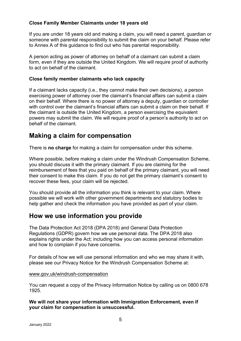#### **Close Family Member Claimants under 18 years old**

If you are under 18 years old and making a claim, you will need a parent, guardian or someone with parental responsibility to submit the claim on your behalf. Please refer to Annex A of this guidance to find out who has parental responsibility.

A person acting as power of attorney on behalf of a claimant can submit a claim form, even if they are outside the United Kingdom. We will require proof of authority to act on behalf of the claimant.

#### **Close family member claimants who lack capacity**

If a claimant lacks capacity (i.e., they cannot make their own decisions), a person exercising power of attorney over the claimant's financial affairs can submit a claim on their behalf. Where there is no power of attorney a deputy, guardian or controller with control over the claimant's financial affairs can submit a claim on their behalf. If the claimant is outside the United Kingdom, a person exercising the equivalent powers may submit the claim. We will require proof of a person's authority to act on behalf of the claimant.

### <span id="page-5-0"></span>**Making a claim for compensation**

There is **no charge** for making a claim for compensation under this scheme.

Where possible, before making a claim under the Windrush Compensation Scheme, you should discuss it with the primary claimant. If you are claiming for the reimbursement of fees that you paid on behalf of the primary claimant, you will need their consent to make this claim. If you do not get the primary claimant's consent to recover these fees, your claim will be rejected.

You should provide all the information you think is relevant to your claim. Where possible we will work with other government departments and statutory bodies to help gather and check the information you have provided as part of your claim.

### <span id="page-5-1"></span>**How we use information you provide**

The Data Protection Act 2018 (DPA 2018) and General Data Protection Regulations (GDPR) govern how we use personal data. The DPA 2018 also explains rights under the Act; including how you can access personal information and how to complain if you have concerns.

For details of how we will use personal information and who we may share it with, please see our Privacy Notice for the Windrush Compensation Scheme at:

#### [www.gov.uk/windrush-compensation](http://www.gov.uk/windrush-compensation)

You can request a copy of the Privacy Information Notice by calling us on 0800 678 1925.

#### **We will not share your information with Immigration Enforcement, even if your claim for compensation is unsuccessful.**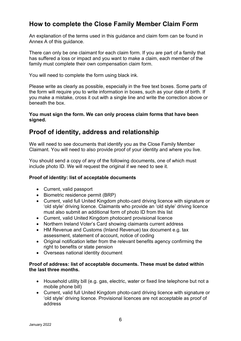### <span id="page-6-0"></span>**How to complete the Close Family Member Claim Form**

An explanation of the terms used in this guidance and claim form can be found in Annex A of this guidance.

There can only be one claimant for each claim form. If you are part of a family that has suffered a loss or impact and you want to make a claim, each member of the family must complete their own compensation claim form.

You will need to complete the form using black ink.

Please write as clearly as possible, especially in the free text boxes. Some parts of the form will require you to write information in boxes, such as your date of birth. If you make a mistake, cross it out with a single line and write the correction above or beneath the box.

#### **You must sign the form. We can only process claim forms that have been signed.**

### <span id="page-6-1"></span>**Proof of identity, address and relationship**

We will need to see documents that identify you as the Close Family Member Claimant. You will need to also provide proof of your identity and where you live.

You should send a copy of any of the following documents, one of which must include photo ID. We will request the original if we need to see it.

#### **Proof of identity: list of acceptable documents**

- Current, valid passport
- Biometric residence permit (BRP)
- Current, valid full United Kingdom photo-card driving licence with signature or 'old style' driving licence. Claimants who provide an 'old style' driving licence must also submit an additional form of photo ID from this list
- Current, valid United Kingdom photocard provisional licence
- Northern Ireland Voter's Card showing claimants current address
- HM Revenue and Customs (Inland Revenue) tax document e.g. tax assessment, statement of account, notice of coding
- Original notification letter from the relevant benefits agency confirming the right to benefits or state pension
- Overseas national identity document

#### **Proof of address: list of acceptable documents. These must be dated within the last three months.**

- Household utility bill (e.g. gas, electric, water or fixed line telephone but not a mobile phone bill)
- Current, valid full United Kingdom photo-card driving licence with signature or 'old style' driving licence. Provisional licences are not acceptable as proof of address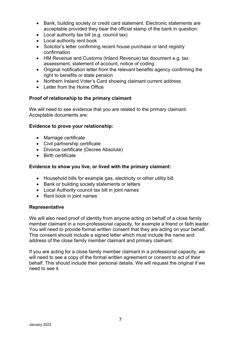- Bank, building society or credit card statement. Electronic statements are acceptable provided they bear the official stamp of the bank in question.
- Local authority tax bill (e.g. council tax)
- Local authority rent book
- Solicitor's letter confirming recent house purchase or land registry confirmation
- HM Revenue and Customs (Inland Revenue) tax document e.g. tax assessment, statement of account, notice of coding
- Original notification letter from the relevant benefits agency confirming the right to benefits or state pension
- Northern Ireland Voter's Card showing claimant current address
- Letter from the Home Office

#### **Proof of relationship to the primary claimant**

We will need to see evidence that you are related to the primary claimant. Acceptable documents are:

#### **Evidence to prove your relationship:**

- Marriage certificate
- Civil partnership certificate
- Divorce certificate (Decree Absolute)
- Birth certificate

#### **Evidence to show you live, or lived with the primary claimant:**

- Household bills for example gas, electricity or other utility bill
- Bank or building society statements or letters
- Local Authority council tax bill in joint names
- Rent book in joint names

#### **Representative**

We will also need proof of identity from anyone acting on behalf of a close family member claimant in a non-professional capacity, for example a friend or faith leader. You will need to provide formal written consent that they are acting on your behalf. This consent should include a signed letter which must include the name and address of the close family member claimant and primary claimant.

If you are acting for a close family member claimant in a professional capacity, we will need to see a copy of the formal written agreement or consent to act of their behalf. This should include their personal details. We will request the original if we need to see it.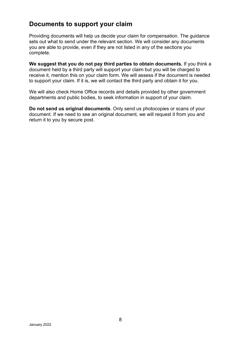### <span id="page-8-0"></span>**Documents to support your claim**

Providing documents will help us decide your claim for compensation. The guidance sets out what to send under the relevant section. We will consider any documents you are able to provide, even if they are not listed in any of the sections you complete.

**We suggest that you do not pay third parties to obtain documents.** If you think a document held by a third party will support your claim but you will be charged to receive it, mention this on your claim form. We will assess if the document is needed to support your claim. If it is, we will contact the third party and obtain it for you.

We will also check Home Office records and details provided by other government departments and public bodies, to seek information in support of your claim.

**Do not send us original documents**. Only send us photocopies or scans of your document. If we need to see an original document, we will request it from you and return it to you by secure post.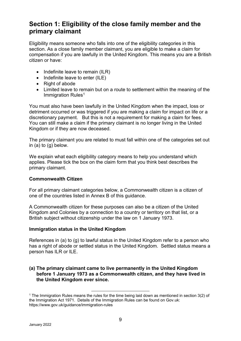### <span id="page-9-0"></span>**Section 1: Eligibility of the close family member and the primary claimant**

Eligibility means someone who falls into one of the eligibility categories in this section. As a close family member claimant, you are eligible to make a claim for compensation if you are lawfully in the United Kingdom. This means you are a British citizen or have:

- Indefinite leave to remain (ILR)
- Indefinite leave to enter (ILE)
- Right of abode
- Limited leave to remain but on a route to settlement within the meaning of the Immigration Rules<sup>[1](#page-9-1)</sup>

You must also have been lawfully in the United Kingdom when the impact, loss or detriment occurred or was triggered if you are making a claim for impact on life or a discretionary payment. But this is not a requirement for making a claim for fees. You can still make a claim if the primary claimant is no longer living in the United Kingdom or if they are now deceased.

The primary claimant you are related to must fall within one of the categories set out in (a) to (g) below.

We explain what each eligibility category means to help you understand which applies. Please tick the box on the claim form that you think best describes the primary claimant.

#### **Commonwealth Citizen**

For all primary claimant categories below, a Commonwealth citizen is a citizen of one of the countries listed in Annex B of this guidance.

A Commonwealth citizen for these purposes can also be a citizen of the United Kingdom and Colonies by a connection to a country or territory on that list, or a British subject without citizenship under the law on 1 January 1973.

#### **Immigration status in the United Kingdom**

References in (a) to (g) to lawful status in the United Kingdom refer to a person who has a right of abode or settled status in the United Kingdom. Settled status means a person has ILR or ILE.

#### **(a) The primary claimant came to live permanently in the United Kingdom before 1 January 1973 as a Commonwealth citizen, and they have lived in the United Kingdom ever since.**

<span id="page-9-1"></span><sup>1</sup> The Immigration Rules means the rules for the time being laid down as mentioned in section 3(2) of the Immigration Act 1971. Details of the Immigration Rules can be found on Gov.uk: https://www.gov.uk/guidance/immigration-rules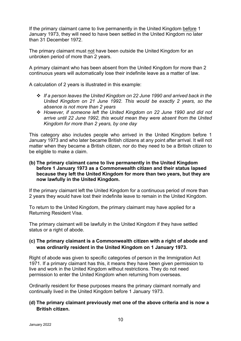If the primary claimant came to live permanently in the United Kingdom before 1 January 1973, they will need to have been settled in the United Kingdom no later than 31 December 1972.

The primary claimant must not have been outside the United Kingdom for an unbroken period of more than 2 years.

A primary claimant who has been absent from the United Kingdom for more than 2 continuous years will automatically lose their indefinite leave as a matter of law.

A calculation of 2 years is illustrated in this example:

- *If a person leaves the United Kingdom on 22 June 1990 and arrived back in the United Kingdom on 21 June 1992. This would be exactly 2 years, so the absence is not more than 2 years*
- *However, if someone left the United Kingdom on 22 June 1990 and did not arrive until 22 June 1992, this would mean they were absent from the United Kingdom for more than 2 years, by one day*

This category also includes people who arrived in the United Kingdom before 1 January 1973 and who later became British citizens at any point after arrival. It will not matter when they became a British citizen, nor do they need to be a British citizen to be eligible to make a claim.

#### **(b) The primary claimant came to live permanently in the United Kingdom before 1 January 1973 as a Commonwealth citizen and their status lapsed because they left the United Kingdom for more than two years, but they are now lawfully in the United Kingdom.**

If the primary claimant left the United Kingdom for a continuous period of more than 2 years they would have lost their indefinite leave to remain in the United Kingdom.

To return to the United Kingdom, the primary claimant may have applied for a Returning Resident Visa.

The primary claimant will be lawfully in the United Kingdom if they have settled status or a right of abode.

#### **(c) The primary claimant is a Commonwealth citizen with a right of abode and was ordinarily resident in the United Kingdom on 1 January 1973.**

Right of abode was given to specific categories of person in the Immigration Act 1971. If a primary claimant has this, it means they have been given permission to live and work in the United Kingdom without restrictions. They do not need permission to enter the United Kingdom when returning from overseas.

Ordinarily resident for these purposes means the primary claimant normally and continually lived in the United Kingdom before 1 January 1973.

#### **(d) The primary claimant previously met one of the above criteria and is now a British citizen.**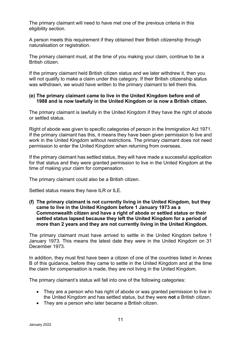The primary claimant will need to have met one of the previous criteria in this eligibility section.

A person meets this requirement if they obtained their British citizenship through naturalisation or registration.

The primary claimant must, at the time of you making your claim, continue to be a British citizen.

If the primary claimant held British citizen status and we later withdrew it, then you will not qualify to make a claim under this category. If their British citizenship status was withdrawn, we would have written to the primary claimant to tell them this.

#### **(e) The primary claimant came to live in the United Kingdom before end of 1988 and is now lawfully in the United Kingdom or is now a British citizen.**

The primary claimant is lawfully in the United Kingdom if they have the right of abode or settled status.

Right of abode was given to specific categories of person in the Immigration Act 1971. If the primary claimant has this, it means they have been given permission to live and work in the United Kingdom without restrictions. The primary claimant does not need permission to enter the United Kingdom when returning from overseas.

If the primary claimant has settled status, they will have made a successful application for that status and they were granted permission to live in the United Kingdom at the time of making your claim for compensation.

The primary claimant could also be a British citizen.

Settled status means they have ILR or ILE.

**(f) The primary claimant is not currently living in the United Kingdom, but they came to live in the United Kingdom before 1 January 1973 as a Commonwealth citizen and have a right of abode or settled status or their settled status lapsed because they left the United Kingdom for a period of more than 2 years and they are not currently living in the United Kingdom.**

The primary claimant must have arrived to settle in the United Kingdom before 1 January 1973. This means the latest date they were in the United Kingdom on 31 December 1973.

In addition, they must first have been a citizen of one of the countries listed in Annex B of this guidance, before they came to settle in the United Kingdom and at the time the claim for compensation is made, they are not living in the United Kingdom.

The primary claimant's status will fall into one of the following categories:

- They are a person who has right of abode or was granted permission to live in the United Kingdom and has settled status, but they were **not** a British citizen.
- They are a person who later became a British citizen.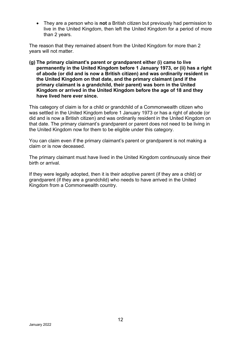• They are a person who is **not** a British citizen but previously had permission to live in the United Kingdom, then left the United Kingdom for a period of more than 2 years.

The reason that they remained absent from the United Kingdom for more than 2 years will not matter.

**(g) The primary claimant's parent or grandparent either (i) came to live permanently in the United Kingdom before 1 January 1973, or (ii) has a right of abode (or did and is now a British citizen) and was ordinarily resident in the United Kingdom on that date, and the primary claimant (and if the primary claimant is a grandchild, their parent) was born in the United Kingdom or arrived in the United Kingdom before the age of 18 and they have lived here ever since.**

This category of claim is for a child or grandchild of a Commonwealth citizen who was settled in the United Kingdom before 1 January 1973 or has a right of abode (or did and is now a British citizen) and was ordinarily resident in the United Kingdom on that date. The primary claimant's grandparent or parent does not need to be living in the United Kingdom now for them to be eligible under this category.

You can claim even if the primary claimant's parent or grandparent is not making a claim or is now deceased.

The primary claimant must have lived in the United Kingdom continuously since their birth or arrival.

If they were legally adopted, then it is their adoptive parent (if they are a child) or grandparent (if they are a grandchild) who needs to have arrived in the United Kingdom from a Commonwealth country.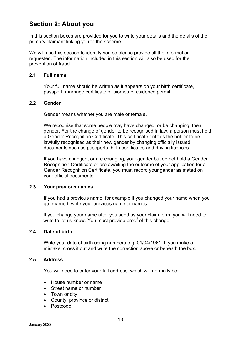### <span id="page-13-0"></span>**Section 2: About you**

In this section boxes are provided for you to write your details and the details of the primary claimant linking you to the scheme.

We will use this section to identify you so please provide all the information requested. The information included in this section will also be used for the prevention of fraud.

#### **2.1 Full name**

Your full name should be written as it appears on your birth certificate, passport, marriage certificate or biometric residence permit.

#### **2.2 Gender**

Gender means whether you are male or female.

We recognise that some people may have changed, or be changing, their gender. For the change of gender to be recognised in law, a person must hold a Gender Recognition Certificate. This certificate entitles the holder to be lawfully recognised as their new gender by changing officially issued documents such as passports, birth certificates and driving licences.

If you have changed, or are changing, your gender but do not hold a Gender Recognition Certificate or are awaiting the outcome of your application for a Gender Recognition Certificate, you must record your gender as stated on your official documents.

#### **2.3 Your previous names**

If you had a previous name, for example if you changed your name when you got married, write your previous name or names.

If you change your name after you send us your claim form, you will need to write to let us know. You must provide proof of this change.

#### **2.4 Date of birth**

Write your date of birth using numbers e.g. 01/04/1961. If you make a mistake, cross it out and write the correction above or beneath the box.

#### **2.5 Address**

You will need to enter your full address, which will normally be:

- House number or name
- Street name or number
- Town or city
- County, province or district
- Postcode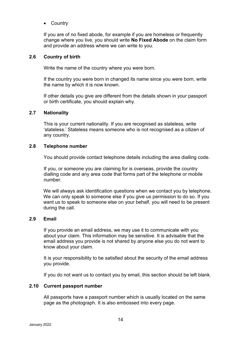• Country

If you are of no fixed abode, for example if you are homeless or frequently change where you live, you should write **No Fixed Abode** on the claim form and provide an address where we can write to you.

#### **2.6 Country of birth**

Write the name of the country where you were born.

If the country you were born in changed its name since you were born, write the name by which it is now known.

If other details you give are different from the details shown in your passport or birth certificate, you should explain why.

#### **2.7 Nationality**

This is your current nationality. If you are recognised as stateless, write 'stateless.' Stateless means someone who is not recognised as a citizen of any country.

#### **2.8 Telephone number**

You should provide contact telephone details including the area dialling code.

If you, or someone you are claiming for is overseas, provide the country dialling code and any area code that forms part of the telephone or mobile number.

We will always ask identification questions when we contact you by telephone. We can only speak to someone else if you give us permission to do so. If you want us to speak to someone else on your behalf, you will need to be present during the call.

#### **2.9 Email**

If you provide an email address, we may use it to communicate with you about your claim. This information may be sensitive. It is advisable that the email address you provide is not shared by anyone else you do not want to know about your claim.

It is your responsibility to be satisfied about the security of the email address you provide.

If you do not want us to contact you by email, this section should be left blank.

#### **2.10 Current passport number**

All passports have a passport number which is usually located on the same page as the photograph. It is also embossed into every page.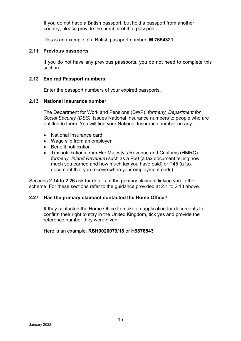If you do not have a British passport, but hold a passport from another country, please provide the number of that passport.

This is an example of a British passport number: **M 7654321**

#### **2.11 Previous passports**

If you do not have any previous passports, you do not need to complete this section.

#### **2.12 Expired Passport numbers**

Enter the passport numbers of your expired passports.

#### **2.13 National Insurance number**

The Department for Work and Pensions (DWP), *formerly, Department for Social Security (DSS)*, issues National Insurance numbers to people who are entitled to them. You will find your National Insurance number on any:

- National Insurance card
- Wage slip from an employer
- Benefit notification
- Tax notifications from Her Majesty's Revenue and Customs (HMRC) *formerly, Inland Revenue*) such as a P60 (a tax document telling how much you earned and how much tax you have paid) or P45 (a tax document that you receive when your employment ends)

Sections **2.14** to **2.26** ask for details of the primary claimant linking you to the scheme. For these sections refer to the guidance provided at 2.1 to 2.13 above.

#### **2.27 Has the primary claimant contacted the Home Office?**

If they contacted the Home Office to make an application for documents to confirm their right to stay in the United Kingdom, tick yes and provide the reference number they were given.

Here is an example: **RSH0026079/18** or **H9876543**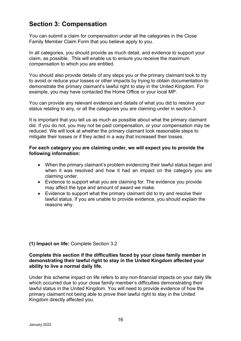### <span id="page-16-0"></span>**Section 3: Compensation**

You can submit a claim for compensation under all the categories in the Close Family Member Claim Form that you believe apply to you.

In all categories, you should provide as much detail, and evidence to support your claim, as possible. This will enable us to ensure you receive the maximum compensation to which you are entitled.

You should also provide details of any steps you or the primary claimant took to try to avoid or reduce your losses or other impacts by trying to obtain documentation to demonstrate the primary claimant's lawful right to stay in the United Kingdom. For example, you may have contacted the Home Office or your local MP.

You can provide any relevant evidence and details of what you did to resolve your status relating to any, or all the categories you are claiming under in section 3.

It is important that you tell us as much as possible about what the primary claimant did. If you do not, you may not be paid compensation, or your compensation may be reduced. We will look at whether the primary claimant took reasonable steps to mitigate their losses or if they acted in a way that increased their losses.

#### **For each category you are claiming under, we will expect you to provide the following information:**

- When the primary claimant's problem evidencing their lawful status began and when it was resolved and how it had an impact on the category you are claiming under.
- Evidence to support what you are claiming for. The evidence you provide may affect the type and amount of award we make.
- Evidence to support what the primary claimant did to try and resolve their lawful status. If you are unable to provide evidence, you should explain the reasons why.

#### **(1) Impact on life:** Complete Section 3.2

#### **Complete this section if the difficulties faced by your close family member in demonstrating their lawful right to stay in the United Kingdom affected your ability to live a normal daily life.**

Under this scheme impact on life refers to any non-financial impacts on your daily life which occurred due to your close family member's difficulties demonstrating their lawful status in the United Kingdom. You will need to provide evidence of how the primary claimant not being able to prove their lawful right to stay in the United Kingdom directly affected you.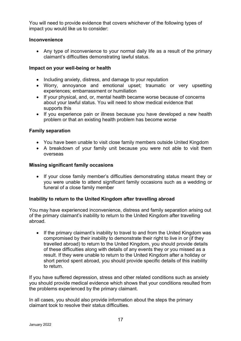You will need to provide evidence that covers whichever of the following types of impact you would like us to consider:

#### **Inconvenience**

• Any type of inconvenience to your normal daily life as a result of the primary claimant's difficulties demonstrating lawful status.

#### **Impact on your well-being or health**

- Including anxiety, distress, and damage to your reputation
- Worry, annoyance and emotional upset; traumatic or very upsetting experiences; embarrassment or humiliation
- If your physical, and, or, mental health became worse because of concerns about your lawful status. You will need to show medical evidence that supports this
- If you experience pain or illness because you have developed a new health problem or that an existing health problem has become worse

#### **Family separation**

- You have been unable to visit close family members outside United Kingdom
- A breakdown of your family unit because you were not able to visit them overseas

#### **Missing significant family occasions**

• If your close family member's difficulties demonstrating status meant they or you were unable to attend significant family occasions such as a wedding or funeral of a close family member

#### **Inability to return to the United Kingdom after travelling abroad**

You may have experienced inconvenience, distress and family separation arising out of the primary claimant's inability to return to the United Kingdom after travelling abroad.

• If the primary claimant's inability to travel to and from the United Kingdom was compromised by their inability to demonstrate their right to live in or (if they travelled abroad) to return to the United Kingdom, you should provide details of these difficulties along with details of any events they or you missed as a result. If they were unable to return to the United Kingdom after a holiday or short period spent abroad, you should provide specific details of this inability to return.

If you have suffered depression, stress and other related conditions such as anxiety you should provide medical evidence which shows that your conditions resulted from the problems experienced by the primary claimant.

In all cases, you should also provide information about the steps the primary claimant took to resolve their status difficulties.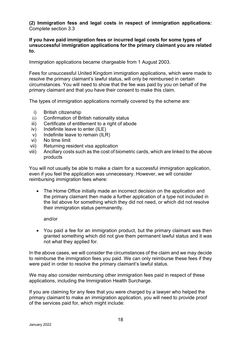**(2) Immigration fess and legal costs in respect of immigration applications:**  Complete section 3.3

**If you have paid immigration fees or incurred legal costs for some types of unsuccessful immigration applications for the primary claimant you are related to.** 

Immigration applications became chargeable from 1 August 2003.

Fees for unsuccessful United Kingdom immigration applications, which were made to resolve the primary claimant's lawful status, will only be reimbursed in certain circumstances. You will need to show that the fee was paid by you on behalf of the primary claimant and that you have their consent to make this claim.

The types of immigration applications normally covered by the scheme are:

- i) British citizenship
- ii) Confirmation of British nationality status
- iii) Certificate of entitlement to a right of abode
- iv) Indefinite leave to enter (ILE)
- v) Indefinite leave to remain (ILR)
- vi) No time limit
- vii) Returning resident visa application
- viii) Ancillary costs such as the cost of biometric cards, which are linked to the above products

You will not usually be able to make a claim for a successful immigration application, even if you feel the application was unnecessary. However, we will consider reimbursing immigration fees where:

• The Home Office initially made an incorrect decision on the application and the primary claimant then made a further application of a type not included in the list above for something which they did not need, or which did not resolve their immigration status permanently.

and/or

• You paid a fee for an immigration product, but the primary claimant was then granted something which did not give them permanent lawful status and it was not what they applied for.

In the above cases, we will consider the circumstances of the claim and we may decide to reimburse the immigration fees you paid. We can only reimburse these fees if they were paid in order to resolve the primary claimant's lawful status.

We may also consider reimbursing other immigration fees paid in respect of these applications, including the Immigration Health Surcharge.

If you are claiming for any fees that you were charged by a lawyer who helped the primary claimant to make an immigration application, you will need to provide proof of the services paid for, which might include: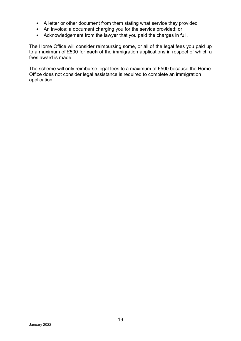- A letter or other document from them stating what service they provided
- An invoice: a document charging you for the service provided; or
- Acknowledgement from the lawyer that you paid the charges in full.

The Home Office will consider reimbursing some, or all of the legal fees you paid up to a maximum of £500 for **each** of the immigration applications in respect of which a fees award is made.

The scheme will only reimburse legal fees to a maximum of £500 because the Home Office does not consider legal assistance is required to complete an immigration application.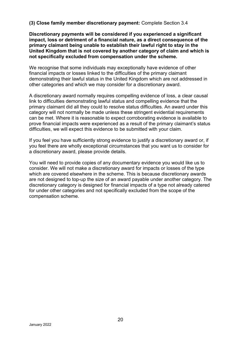**(3) Close family member discretionary payment:** Complete Section 3.4

**Discretionary payments will be considered if you experienced a significant impact, loss or detriment of a financial nature, as a direct consequence of the primary claimant being unable to establish their lawful right to stay in the United Kingdom that is not covered by another category of claim and which is not specifically excluded from compensation under the scheme.**

We recognise that some individuals may exceptionally have evidence of other financial impacts or losses linked to the difficulties of the primary claimant demonstrating their lawful status in the United Kingdom which are not addressed in other categories and which we may consider for a discretionary award.

A discretionary award normally requires compelling evidence of loss, a clear causal link to difficulties demonstrating lawful status and compelling evidence that the primary claimant did all they could to resolve status difficulties. An award under this category will not normally be made unless these stringent evidential requirements can be met. Where it is reasonable to expect corroborating evidence is available to prove financial impacts were experienced as a result of the primary claimant's status difficulties, we will expect this evidence to be submitted with your claim.

If you feel you have sufficiently strong evidence to justify a discretionary award or, if you feel there are wholly exceptional circumstances that you want us to consider for a discretionary award, please provide details.

You will need to provide copies of any documentary evidence you would like us to consider. We will not make a discretionary award for impacts or losses of the type which are covered elsewhere in the scheme. This is because discretionary awards are not designed to top-up the size of an award payable under another category. The discretionary category is designed for financial impacts of a type not already catered for under other categories and not specifically excluded from the scope of the compensation scheme.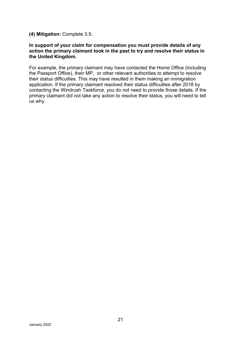#### **(4) Mitigation:** Complete 3.5:

#### **In support of your claim for compensation you must provide details of any action the primary claimant took in the past to try and resolve their status in the United Kingdom.**

For example, the primary claimant may have contacted the Home Office (including the Passport Office), their MP, or other relevant authorities to attempt to resolve their status difficulties. This may have resulted in them making an immigration application. If the primary claimant resolved their status difficulties after 2018 by contacting the Windrush Taskforce, you do not need to provide those details. If the primary claimant did not take any action to resolve their status, you will need to tell us why.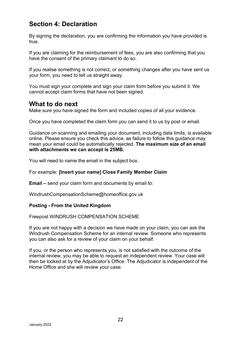### <span id="page-22-0"></span>**Section 4: Declaration**

By signing the declaration, you are confirming the information you have provided is true.

If you are claiming for the reimbursement of fees, you are also confirming that you have the consent of the primary claimant to do so.

If you realise something is not correct, or something changes after you have sent us your form, you need to tell us straight away.

You must sign your complete and sign your claim form before you submit it. We cannot accept claim forms that have not been signed.

### <span id="page-22-1"></span>**What to do next**

Make sure you have signed the form and included copies of all your evidence.

Once you have completed the claim form you can send it to us by post or email.

Guidance on scanning and emailing your document, including data limits, is available online. Please ensure you check this advice, as failure to follow this guidance may mean your email could be automatically rejected. **The maximum size of an email with attachments we can accept is 25MB.**

You will need to name the email in the subject box.

#### For example: **[Insert your name] Close Family Member Claim**

**Email –** send your claim form and documents by email to:

WindrushCompensationScheme@homeoffice.gov.uk

#### **Posting - From the United Kingdom**

#### Freepost WINDRUSH COMPENSATION SCHEME

If you are not happy with a decision we have made on your claim, you can ask the Windrush Compensation Scheme for an internal review. Someone who represents you can also ask for a review of your claim on your behalf.

If you, or the person who represents you, is not satisfied with the outcome of the internal review, you may be able to request an independent review. Your case will then be looked at by the Adjudicator's Office. The Adjudicator is independent of the Home Office and she will review your case.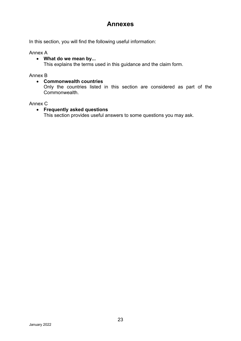### **Annexes**

In this section, you will find the following useful information:

Annex A

• **What do we mean by...** This explains the terms used in this guidance and the claim form.

Annex B

• **Commonwealth countries** Only the countries listed in this section are considered as part of the Commonwealth.

Annex C

• **Frequently asked questions** This section provides useful answers to some questions you may ask.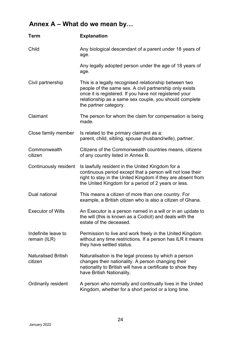# <span id="page-24-0"></span>**Annex A – What do we mean by…**

| <b>Term</b>                           | <b>Explanation</b>                                                                                                                                                                                                                                            |
|---------------------------------------|---------------------------------------------------------------------------------------------------------------------------------------------------------------------------------------------------------------------------------------------------------------|
| Child                                 | Any biological descendant of a parent under 18 years of<br>age.                                                                                                                                                                                               |
|                                       | Any legally adopted person under the age of 18 years of<br>age.                                                                                                                                                                                               |
| Civil partnership                     | This is a legally recognised relationship between two<br>people of the same sex. A civil partnership only exists<br>once it is registered. If you have not registered your<br>relationship as a same sex couple, you should complete<br>the partner category. |
| Claimant                              | The person for whom the claim for compensation is being<br>made.                                                                                                                                                                                              |
| Close family member                   | Is related to the primary claimant as a:<br>parent, child, sibling, spouse (husband/wife), partner.                                                                                                                                                           |
| Commonwealth<br>citizen               | Citizens of the Commonwealth countries means, citizens<br>of any country listed in Annex B.                                                                                                                                                                   |
| Continuously resident                 | Is lawfully resident in the United Kingdom for a<br>continuous period except that a person will not lose their<br>right to stay in the United Kingdom if they are absent from<br>the United Kingdom for a period of 2 years or less.                          |
| Dual national                         | This means a citizen of more than one country. For<br>example, a British citizen who is also a citizen of Ghana.                                                                                                                                              |
| <b>Executor of Wills</b>              | An Executor is a person named in a will or in an update to<br>the will (this is known as a Codicil) and deals with the<br>estate of the deceased.                                                                                                             |
| Indefinite leave to<br>remain (ILR)   | Permission to live and work freely in the United Kingdom<br>without any time restrictions. If a person has ILR it means<br>they have settled status.                                                                                                          |
| <b>Naturalised British</b><br>citizen | Naturalisation is the legal process by which a person<br>changes their nationality. A person changing their<br>nationality to British will have a certificate to show they<br>have British Nationality.                                                       |
| <b>Ordinarily resident</b>            | A person who normally and continually lives in the United<br>Kingdom, whether for a short period or a long time.                                                                                                                                              |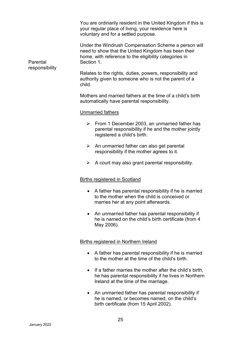| Parental<br>responsibility | You are ordinarily resident in the United Kingdom if this is<br>your regular place of living, your residence here is<br>voluntary and for a settled purpose.                       |  |
|----------------------------|------------------------------------------------------------------------------------------------------------------------------------------------------------------------------------|--|
|                            | Under the Windrush Compensation Scheme a person will<br>need to show that the United Kingdom has been their<br>home, with reference to the eligibility categories in<br>Section 1. |  |
|                            | Relates to the rights, duties, powers, responsibility and<br>authority given to someone who is not the parent of a<br>child.                                                       |  |
|                            | Mothers and married fathers at the time of a child's birth<br>automatically have parental responsibility.                                                                          |  |
|                            | <b>Unmarried fathers</b>                                                                                                                                                           |  |
|                            | $\triangleright$ From 1 December 2003, an unmarried father has<br>parental responsibility if he and the mother jointly<br>registered a child's birth.                              |  |
|                            | $\blacktriangleright$<br>An unmarried father can also get parental<br>responsibility if the mother agrees to it.                                                                   |  |
|                            | A court may also grant parental responsibility.<br>➤                                                                                                                               |  |
|                            | <b>Births registered in Scotland</b>                                                                                                                                               |  |
|                            | A father has parental responsibility if he is married<br>$\bullet$<br>to the mother when the child is conceived or                                                                 |  |

• An unmarried father has parental responsibility if he is named on the child's birth certificate (from 4 May 2006).

marries her at any point afterwards.

#### Births registered in Northern Ireland

- A father has parental responsibility if he is married to the mother at the time of the child's birth.
- If a father marries the mother after the child's birth, he has parental responsibility if he lives in Northern Ireland at the time of the marriage.
- An unmarried father has parental responsibility if he is named, or becomes named, on the child's birth certificate (from 15 April 2002).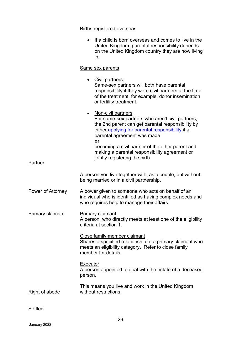#### Births registered overseas

|                   | • If a child is born overseas and comes to live in the<br>United Kingdom, parental responsibility depends<br>on the United Kingdom country they are now living<br>in.                                                              |
|-------------------|------------------------------------------------------------------------------------------------------------------------------------------------------------------------------------------------------------------------------------|
|                   | <b>Same sex parents</b>                                                                                                                                                                                                            |
|                   | Civil partners:<br>Same-sex partners will both have parental<br>responsibility if they were civil partners at the time<br>of the treatment, for example, donor insemination<br>or fertility treatment.                             |
|                   | Non-civil partners:<br>$\bullet$<br>For same-sex partners who aren't civil partners,<br>the 2nd parent can get parental responsibility by<br>either applying for parental responsibility if a<br>parental agreement was made<br>or |
|                   | becoming a civil partner of the other parent and<br>making a parental responsibility agreement or<br>jointly registering the birth.                                                                                                |
| Partner           |                                                                                                                                                                                                                                    |
|                   | A person you live together with, as a couple, but without<br>being married or in a civil partnership.                                                                                                                              |
| Power of Attorney | A power given to someone who acts on behalf of an<br>individual who is identified as having complex needs and<br>who requires help to manage their affairs.                                                                        |
| Primary claimant  | Primary claimant<br>A person, who directly meets at least one of the eligibility<br>criteria at section 1.                                                                                                                         |
|                   | Close family member claimant<br>Shares a specified relationship to a primary claimant who<br>meets an eligibility category. Refer to close family<br>member for details.                                                           |
|                   | Executor<br>A person appointed to deal with the estate of a deceased<br>person.                                                                                                                                                    |
| Right of abode    | This means you live and work in the United Kingdom<br>without restrictions.                                                                                                                                                        |
|                   |                                                                                                                                                                                                                                    |

Settled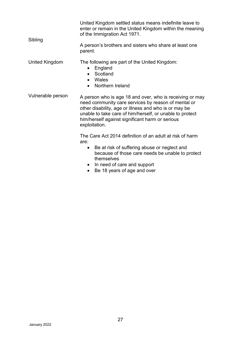| Sibling           | United Kingdom settled status means indefinite leave to<br>enter or remain in the United Kingdom within the meaning<br>of the Immigration Act 1971.                                                                                                                                                                                                                            |  |
|-------------------|--------------------------------------------------------------------------------------------------------------------------------------------------------------------------------------------------------------------------------------------------------------------------------------------------------------------------------------------------------------------------------|--|
|                   | A person's brothers and sisters who share at least one<br>parent.                                                                                                                                                                                                                                                                                                              |  |
| United Kingdom    | The following are part of the United Kingdom:<br>England<br>$\bullet$<br>Scotland<br>$\bullet$<br>Wales<br>$\bullet$<br>Northern Ireland<br>$\bullet$                                                                                                                                                                                                                          |  |
| Vulnerable person | A person who is age 18 and over, who is receiving or may<br>need community care services by reason of mental or<br>other disability, age or illness and who is or may be<br>unable to take care of him/herself, or unable to protect<br>him/herself against significant harm or serious<br>exploitation.                                                                       |  |
|                   | The Care Act 2014 definition of an adult at risk of harm<br>are:<br>Be at risk of suffering abuse or neglect and<br>$\bullet$<br>because of those care needs be unable to protect<br>themselves<br>In need of care and support<br>$D - 40$ $\cdots$ $\cdots$ $\overline{a}$ $\overline{b}$ $\overline{a}$ $\overline{a}$ $\overline{a}$ $\overline{a}$ $\overline{a}$ $\cdots$ |  |

<span id="page-27-0"></span>• Be 18 years of age and over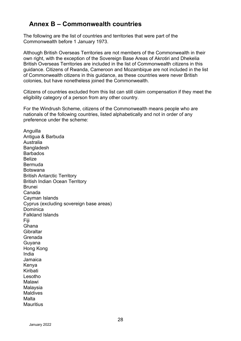### **Annex B – Commonwealth countries**

The following are the list of countries and territories that were part of the Commonwealth before 1 January 1973.

Although British Overseas Territories are not members of the Commonwealth in their own right, with the exception of the Sovereign Base Areas of Akrotiri and Dhekelia British Overseas Territories are included in the list of Commonwealth citizens in this guidance. Citizens of Rwanda, Cameroon and Mozambique are not included in the list of Commonwealth citizens in this guidance, as these countries were never British colonies, but have nonetheless joined the Commonwealth.

Citizens of countries excluded from this list can still claim compensation if they meet the eligibility category of a person from any other country.

For the Windrush Scheme, citizens of the Commonwealth means people who are nationals of the following countries, listed alphabetically and not in order of any preference under the scheme:

Anguilla Antigua & Barbuda Australia **Bangladesh** Barbados Belize Bermuda Botswana British Antarctic Territory British Indian Ocean Territory Brunei Canada Cayman Islands Cyprus (excluding sovereign base areas) Dominica Falkland Islands Fiji Ghana **Gibraltar** Grenada Guyana Hong Kong India Jamaica Kenya Kiribati Lesotho Malawi Malaysia **Maldives** Malta Mauritius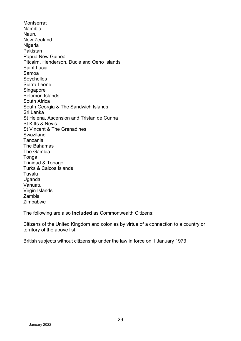**Montserrat** Namibia Nauru New Zealand Nigeria Pakistan Papua New Guinea Pitcairn, Henderson, Ducie and Oeno Islands Saint Lucia Samoa **Seychelles** Sierra Leone Singapore Solomon Islands South Africa South Georgia & The Sandwich Islands Sri Lanka St Helena, Ascension and Tristan de Cunha St Kitts & Nevis St Vincent & The Grenadines **Swaziland** Tanzania The Bahamas The Gambia Tonga Trinidad & Tobago Turks & Caicos Islands **Tuvalu** Uganda Vanuatu Virgin Islands Zambia Zimbabwe

The following are also **included** as Commonwealth Citizens:

Citizens of the United Kingdom and colonies by virtue of a connection to a country or territory of the above list.

British subjects without citizenship under the law in force on 1 January 1973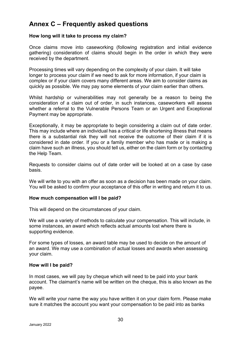### <span id="page-30-0"></span>**Annex C – Frequently asked questions**

#### **How long will it take to process my claim?**

Once claims move into caseworking (following registration and initial evidence gathering) consideration of claims should begin in the order in which they were received by the department.

Processing times will vary depending on the complexity of your claim. It will take longer to process your claim if we need to ask for more information, if your claim is complex or if your claim covers many different areas. We aim to consider claims as quickly as possible. We may pay some elements of your claim earlier than others.

Whilst hardship or vulnerabilities may not generally be a reason to being the consideration of a claim out of order, in such instances, caseworkers will assess whether a referral to the Vulnerable Persons Team or an Urgent and Exceptional Payment may be appropriate.

Exceptionally, it may be appropriate to begin considering a claim out of date order. This may include where an individual has a critical or life shortening illness that means there is a substantial risk they will not receive the outcome of their claim if it is considered in date order. If you or a family member who has made or is making a claim have such an illness, you should tell us, either on the claim form or by contacting the Help Team.

Requests to consider claims out of date order will be looked at on a case by case basis.

We will write to you with an offer as soon as a decision has been made on your claim. You will be asked to confirm your acceptance of this offer in writing and return it to us.

#### **How much compensation will I be paid?**

This will depend on the circumstances of your claim.

We will use a variety of methods to calculate your compensation. This will include, in some instances, an award which reflects actual amounts lost where there is supporting evidence.

For some types of losses, an award table may be used to decide on the amount of an award. We may use a combination of actual losses and awards when assessing your claim.

#### **How will I be paid?**

In most cases, we will pay by cheque which will need to be paid into your bank account. The claimant's name will be written on the cheque, this is also known as the payee.

We will write your name the way you have written it on your claim form. Please make sure it matches the account you want your compensation to be paid into as banks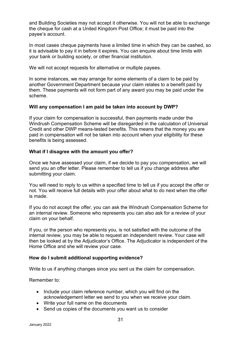and Building Societies may not accept it otherwise. You will not be able to exchange the cheque for cash at a United Kingdom Post Office; it must be paid into the payee's account.

In most cases cheque payments have a limited time in which they can be cashed, so it is advisable to pay it in before it expires. You can enquire about time limits with your bank or building society, or other financial institution.

We will not accept requests for alternative or multiple payees.

In some instances, we may arrange for some elements of a claim to be paid by another Government Department because your claim relates to a benefit paid by them. These payments will not form part of any award you may be paid under the scheme.

#### **Will any compensation I am paid be taken into account by DWP?**

If your claim for compensation is successful, then payments made under the Windrush Compensation Scheme will be disregarded in the calculation of Universal Credit and other DWP means-tested benefits. This means that the money you are paid in compensation will not be taken into account when your eligibility for these benefits is being assessed.

#### **What if I disagree with the amount you offer?**

Once we have assessed your claim, if we decide to pay you compensation, we will send you an offer letter. Please remember to tell us if you change address after submitting your claim.

You will need to reply to us within a specified time to tell us if you accept the offer or not. You will receive full details with your offer about what to do next when the offer is made.

If you do not accept the offer, you can ask the Windrush Compensation Scheme for an internal review. Someone who represents you can also ask for a review of your claim on your behalf.

If you, or the person who represents you, is not satisfied with the outcome of the internal review, you may be able to request an independent review. Your case will then be looked at by the Adjudicator's Office. The Adjudicator is independent of the Home Office and she will review your case.

#### **How do I submit additional supporting evidence?**

Write to us if anything changes since you sent us the claim for compensation.

Remember to:

- Include your claim reference number, which you will find on the acknowledgement letter we send to you when we receive your claim.
- Write your full name on the documents
- Send us copies of the documents you want us to consider